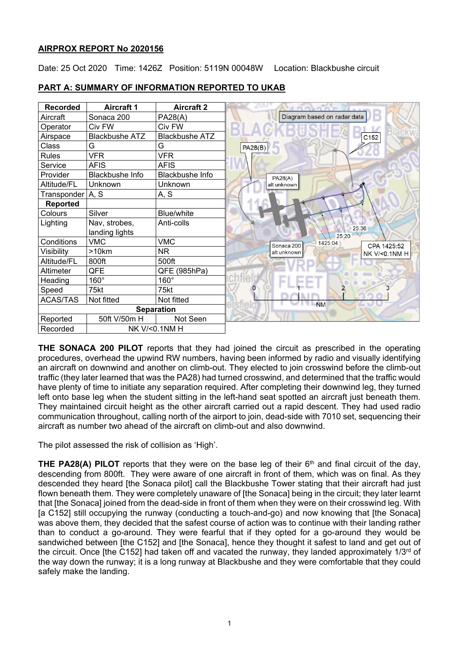## **AIRPROX REPORT No 2020156**

Date: 25 Oct 2020 Time: 1426Z Position: 5119N 00048W Location: Blackbushe circuit

| <b>Recorded</b>  | <b>Aircraft 1</b>     | <b>Aircraft 2</b>     |                                      |
|------------------|-----------------------|-----------------------|--------------------------------------|
| Aircraft         | Sonaca 200            | <b>PA28(A)</b>        | Diagram based on radar data          |
| Operator         | Civ FW                | Civ FW                |                                      |
| Airspace         | <b>Blackbushe ATZ</b> | <b>Blackbushe ATZ</b> | C152                                 |
| Class            | G                     | G                     | PA28(B)                              |
| <b>Rules</b>     | <b>VFR</b>            | <b>VFR</b>            |                                      |
| Service          | <b>AFIS</b>           | <b>AFIS</b>           |                                      |
| Provider         | Blackbushe Info       | Blackbushe Info       | <b>PA28(A)</b>                       |
| Altitude/FL      | Unknown               | Unknown               | alt unknown                          |
| Transponder A, S |                       | A, S                  |                                      |
| <b>Reported</b>  |                       |                       |                                      |
| Colours          | Silver                | <b>Blue/white</b>     |                                      |
| Lighting         | Nav, strobes,         | Anti-colls            | 25:36                                |
|                  | landing lights        |                       | 25:20                                |
| Conditions       | <b>VMC</b>            | <b>VMC</b>            | 1425:04<br>CPA 1425:52<br>Sonaca 200 |
| Visibility       | >10km                 | NR.                   | alt unknown<br>NK V/<0.1NM H         |
| Altitude/FL      | 800ft                 | 500ft                 |                                      |
| Altimeter        | QFE                   | QFE (985hPa)          |                                      |
| Heading          | 160°                  | $160^\circ$           |                                      |
| Speed            | 75kt                  | 75kt                  | O                                    |
| <b>ACAS/TAS</b>  | Not fitted            | Not fitted            | <b>NM</b>                            |
|                  |                       | <b>Separation</b>     |                                      |
| Reported         | 50ft V/50m H          | Not Seen              |                                      |
| Recorded         |                       | NK V/<0.1NM H         |                                      |

## **PART A: SUMMARY OF INFORMATION REPORTED TO UKAB**

**THE SONACA 200 PILOT** reports that they had joined the circuit as prescribed in the operating procedures, overhead the upwind RW numbers, having been informed by radio and visually identifying an aircraft on downwind and another on climb-out. They elected to join crosswind before the climb-out traffic (they later learned that was the PA28) had turned crosswind, and determined that the traffic would have plenty of time to initiate any separation required. After completing their downwind leg, they turned left onto base leg when the student sitting in the left-hand seat spotted an aircraft just beneath them. They maintained circuit height as the other aircraft carried out a rapid descent. They had used radio communication throughout, calling north of the airport to join, dead-side with 7010 set, sequencing their aircraft as number two ahead of the aircraft on climb-out and also downwind.

The pilot assessed the risk of collision as 'High'.

**THE PA28(A) PILOT** reports that they were on the base leg of their  $6<sup>th</sup>$  and final circuit of the day, descending from 800ft. They were aware of one aircraft in front of them, which was on final. As they descended they heard [the Sonaca pilot] call the Blackbushe Tower stating that their aircraft had just flown beneath them. They were completely unaware of [the Sonaca] being in the circuit; they later learnt that [the Sonaca] joined from the dead-side in front of them when they were on their crosswind leg. With [a C152] still occupying the runway (conducting a touch-and-go) and now knowing that [the Sonaca] was above them, they decided that the safest course of action was to continue with their landing rather than to conduct a go-around. They were fearful that if they opted for a go-around they would be sandwiched between [the C152] and [the Sonaca], hence they thought it safest to land and get out of the circuit. Once [the C152] had taken off and vacated the runway, they landed approximately 1/3<sup>rd</sup> of the way down the runway; it is a long runway at Blackbushe and they were comfortable that they could safely make the landing.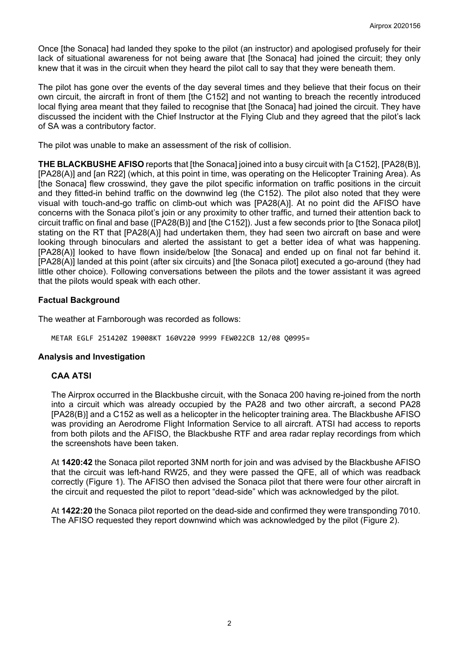Once [the Sonaca] had landed they spoke to the pilot (an instructor) and apologised profusely for their lack of situational awareness for not being aware that [the Sonaca] had joined the circuit; they only knew that it was in the circuit when they heard the pilot call to say that they were beneath them.

The pilot has gone over the events of the day several times and they believe that their focus on their own circuit, the aircraft in front of them [the C152] and not wanting to breach the recently introduced local flying area meant that they failed to recognise that [the Sonaca] had joined the circuit. They have discussed the incident with the Chief Instructor at the Flying Club and they agreed that the pilot's lack of SA was a contributory factor.

The pilot was unable to make an assessment of the risk of collision.

**THE BLACKBUSHE AFISO** reports that [the Sonaca] joined into a busy circuit with [a C152], [PA28(B)], [PA28(A)] and [an R22] (which, at this point in time, was operating on the Helicopter Training Area). As [the Sonaca] flew crosswind, they gave the pilot specific information on traffic positions in the circuit and they fitted-in behind traffic on the downwind leg (the C152). The pilot also noted that they were visual with touch-and-go traffic on climb-out which was [PA28(A)]. At no point did the AFISO have concerns with the Sonaca pilot's join or any proximity to other traffic, and turned their attention back to circuit traffic on final and base ([PA28(B)] and [the C152]). Just a few seconds prior to [the Sonaca pilot] stating on the RT that [PA28(A)] had undertaken them, they had seen two aircraft on base and were looking through binoculars and alerted the assistant to get a better idea of what was happening. [PA28(A)] looked to have flown inside/below [the Sonaca] and ended up on final not far behind it. [PA28(A)] landed at this point (after six circuits) and [the Sonaca pilot] executed a go-around (they had little other choice). Following conversations between the pilots and the tower assistant it was agreed that the pilots would speak with each other.

# **Factual Background**

The weather at Farnborough was recorded as follows:

METAR EGLF 251420Z 19008KT 160V220 9999 FEW022CB 12/08 Q0995=

### **Analysis and Investigation**

### **CAA ATSI**

The Airprox occurred in the Blackbushe circuit, with the Sonaca 200 having re-joined from the north into a circuit which was already occupied by the PA28 and two other aircraft, a second PA28 [PA28(B)] and a C152 as well as a helicopter in the helicopter training area. The Blackbushe AFISO was providing an Aerodrome Flight Information Service to all aircraft. ATSI had access to reports from both pilots and the AFISO, the Blackbushe RTF and area radar replay recordings from which the screenshots have been taken.

At **1420:42** the Sonaca pilot reported 3NM north for join and was advised by the Blackbushe AFISO that the circuit was left-hand RW25, and they were passed the QFE, all of which was readback correctly (Figure 1). The AFISO then advised the Sonaca pilot that there were four other aircraft in the circuit and requested the pilot to report "dead-side" which was acknowledged by the pilot.

At **1422:20** the Sonaca pilot reported on the dead-side and confirmed they were transponding 7010. The AFISO requested they report downwind which was acknowledged by the pilot (Figure 2).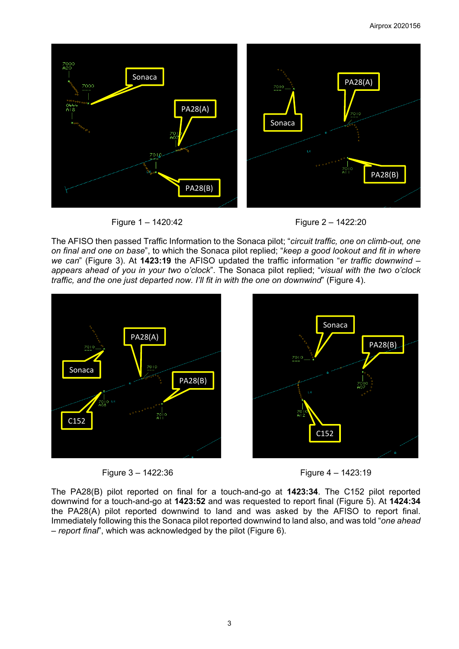





The AFISO then passed Traffic Information to the Sonaca pilot; "*circuit traffic, one on climb-out, one on final and one on base*", to which the Sonaca pilot replied; "*keep a good lookout and fit in where we can*" (Figure 3). At **1423:19** the AFISO updated the traffic information "*er traffic downwind – appears ahead of you in your two o'clock*". The Sonaca pilot replied; "*visual with the two o'clock traffic, and the one just departed now. I'll fit in with the one on downwind*" (Figure 4).







The PA28(B) pilot reported on final for a touch-and-go at **1423:34**. The C152 pilot reported downwind for a touch-and-go at **1423:52** and was requested to report final (Figure 5). At **1424:34** the PA28(A) pilot reported downwind to land and was asked by the AFISO to report final. Immediately following this the Sonaca pilot reported downwind to land also, and was told "*one ahead – report final*", which was acknowledged by the pilot (Figure 6).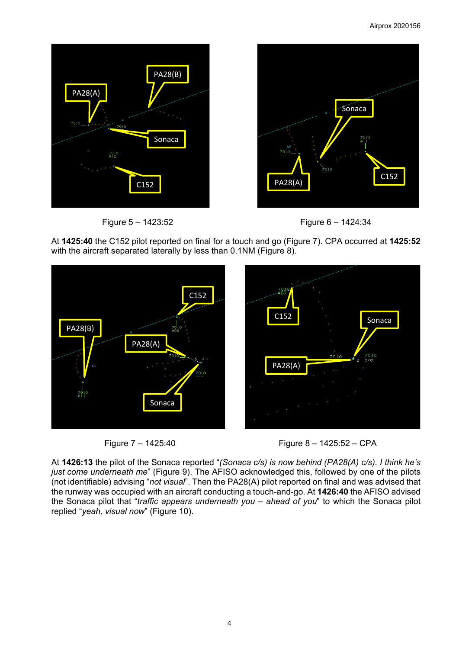



Figure 5 – 1423:52 Figure 6 – 1424:34



At **1425:40** the C152 pilot reported on final for a touch and go (Figure 7). CPA occurred at **1425:52** with the aircraft separated laterally by less than 0.1NM (Figure 8).







At **1426:13** the pilot of the Sonaca reported "*(Sonaca c/s) is now behind (PA28(A) c/s). I think he's just come underneath me*" (Figure 9). The AFISO acknowledged this, followed by one of the pilots (not identifiable) advising "*not visual*". Then the PA28(A) pilot reported on final and was advised that the runway was occupied with an aircraft conducting a touch-and-go. At **1426:40** the AFISO advised the Sonaca pilot that "*traffic appears underneath you – ahead of you*" to which the Sonaca pilot replied "*yeah, visual now*" (Figure 10).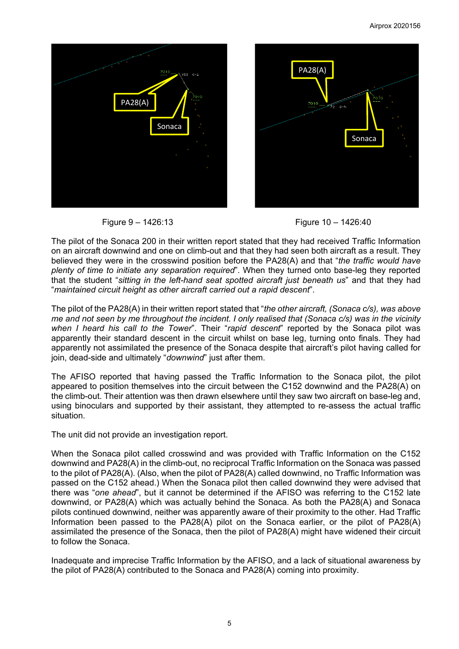





The pilot of the Sonaca 200 in their written report stated that they had received Traffic Information on an aircraft downwind and one on climb-out and that they had seen both aircraft as a result. They believed they were in the crosswind position before the PA28(A) and that "*the traffic would have plenty of time to initiate any separation required*". When they turned onto base-leg they reported that the student "*sitting in the left-hand seat spotted aircraft just beneath us*" and that they had "*maintained circuit height as other aircraft carried out a rapid descent*".

The pilot of the PA28(A) in their written report stated that "*the other aircraft, (Sonaca c/s), was above me and not seen by me throughout the incident. I only realised that (Sonaca c/s) was in the vicinity when I heard his call to the Tower*". Their "*rapid descent*" reported by the Sonaca pilot was apparently their standard descent in the circuit whilst on base leg, turning onto finals. They had apparently not assimilated the presence of the Sonaca despite that aircraft's pilot having called for join, dead-side and ultimately "*downwind*" just after them.

The AFISO reported that having passed the Traffic Information to the Sonaca pilot, the pilot appeared to position themselves into the circuit between the C152 downwind and the PA28(A) on the climb-out. Their attention was then drawn elsewhere until they saw two aircraft on base-leg and, using binoculars and supported by their assistant, they attempted to re-assess the actual traffic situation.

The unit did not provide an investigation report.

When the Sonaca pilot called crosswind and was provided with Traffic Information on the C152 downwind and PA28(A) in the climb-out, no reciprocal Traffic Information on the Sonaca was passed to the pilot of PA28(A). (Also, when the pilot of PA28(A) called downwind, no Traffic Information was passed on the C152 ahead.) When the Sonaca pilot then called downwind they were advised that there was "*one ahead*", but it cannot be determined if the AFISO was referring to the C152 late downwind, or PA28(A) which was actually behind the Sonaca. As both the PA28(A) and Sonaca pilots continued downwind, neither was apparently aware of their proximity to the other. Had Traffic Information been passed to the PA28(A) pilot on the Sonaca earlier, or the pilot of PA28(A) assimilated the presence of the Sonaca, then the pilot of PA28(A) might have widened their circuit to follow the Sonaca.

Inadequate and imprecise Traffic Information by the AFISO, and a lack of situational awareness by the pilot of PA28(A) contributed to the Sonaca and PA28(A) coming into proximity.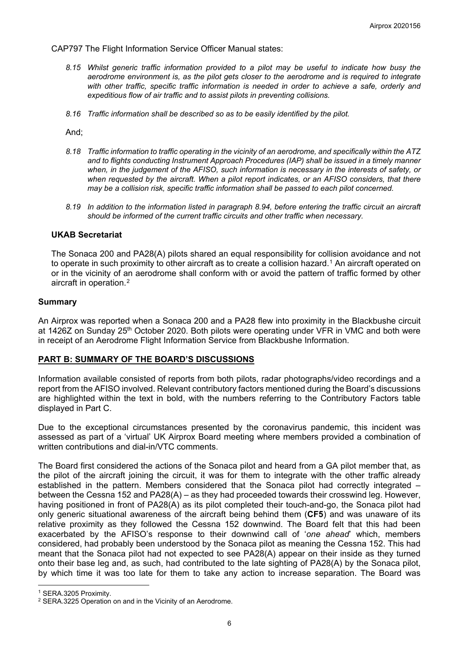CAP797 The Flight Information Service Officer Manual states:

- *8.15 Whilst generic traffic information provided to a pilot may be useful to indicate how busy the aerodrome environment is, as the pilot gets closer to the aerodrome and is required to integrate*  with other traffic, specific traffic information is needed in order to achieve a safe, orderly and *expeditious flow of air traffic and to assist pilots in preventing collisions.*
- *8.16 Traffic information shall be described so as to be easily identified by the pilot.*

And;

- *8.18 Traffic information to traffic operating in the vicinity of an aerodrome, and specifically within the ATZ and to flights conducting Instrument Approach Procedures (IAP) shall be issued in a timely manner when, in the judgement of the AFISO, such information is necessary in the interests of safety, or when requested by the aircraft. When a pilot report indicates, or an AFISO considers, that there may be a collision risk, specific traffic information shall be passed to each pilot concerned.*
- *8.19 In addition to the information listed in paragraph 8.94, before entering the traffic circuit an aircraft should be informed of the current traffic circuits and other traffic when necessary.*

#### **UKAB Secretariat**

The Sonaca 200 and PA28(A) pilots shared an equal responsibility for collision avoidance and not to operate in such proximity to other aircraft as to create a collision hazard.<sup>[1](#page-5-0)</sup> An aircraft operated on or in the vicinity of an aerodrome shall conform with or avoid the pattern of traffic formed by other aircraft in operation.[2](#page-5-1)

#### **Summary**

An Airprox was reported when a Sonaca 200 and a PA28 flew into proximity in the Blackbushe circuit at 1426Z on Sunday 25<sup>th</sup> October 2020. Both pilots were operating under VFR in VMC and both were in receipt of an Aerodrome Flight Information Service from Blackbushe Information.

#### **PART B: SUMMARY OF THE BOARD'S DISCUSSIONS**

Information available consisted of reports from both pilots, radar photographs/video recordings and a report from the AFISO involved. Relevant contributory factors mentioned during the Board's discussions are highlighted within the text in bold, with the numbers referring to the Contributory Factors table displayed in Part C.

Due to the exceptional circumstances presented by the coronavirus pandemic, this incident was assessed as part of a 'virtual' UK Airprox Board meeting where members provided a combination of written contributions and dial-in/VTC comments.

The Board first considered the actions of the Sonaca pilot and heard from a GA pilot member that, as the pilot of the aircraft joining the circuit, it was for them to integrate with the other traffic already established in the pattern. Members considered that the Sonaca pilot had correctly integrated – between the Cessna 152 and PA28(A) – as they had proceeded towards their crosswind leg. However, having positioned in front of PA28(A) as its pilot completed their touch-and-go, the Sonaca pilot had only generic situational awareness of the aircraft being behind them (**CF5**) and was unaware of its relative proximity as they followed the Cessna 152 downwind. The Board felt that this had been exacerbated by the AFISO's response to their downwind call of '*one ahead*' which, members considered, had probably been understood by the Sonaca pilot as meaning the Cessna 152. This had meant that the Sonaca pilot had not expected to see PA28(A) appear on their inside as they turned onto their base leg and, as such, had contributed to the late sighting of PA28(A) by the Sonaca pilot, by which time it was too late for them to take any action to increase separation. The Board was

<span id="page-5-0"></span><sup>1</sup> SERA.3205 Proximity.

<span id="page-5-1"></span><sup>2</sup> SERA.3225 Operation on and in the Vicinity of an Aerodrome.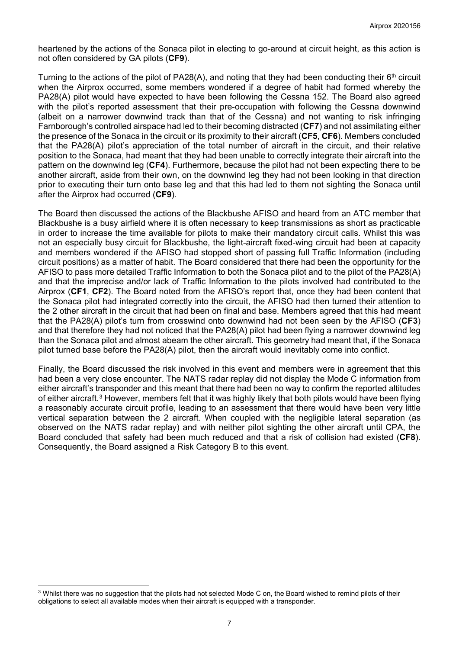heartened by the actions of the Sonaca pilot in electing to go-around at circuit height, as this action is not often considered by GA pilots (**CF9**).

Turning to the actions of the pilot of PA28(A), and noting that they had been conducting their 6<sup>th</sup> circuit when the Airprox occurred, some members wondered if a degree of habit had formed whereby the PA28(A) pilot would have expected to have been following the Cessna 152. The Board also agreed with the pilot's reported assessment that their pre-occupation with following the Cessna downwind (albeit on a narrower downwind track than that of the Cessna) and not wanting to risk infringing Farnborough's controlled airspace had led to their becoming distracted (**CF7**) and not assimilating either the presence of the Sonaca in the circuit or its proximity to their aircraft (**CF5**, **CF6**). Members concluded that the PA28(A) pilot's appreciation of the total number of aircraft in the circuit, and their relative position to the Sonaca, had meant that they had been unable to correctly integrate their aircraft into the pattern on the downwind leg (**CF4**). Furthermore, because the pilot had not been expecting there to be another aircraft, aside from their own, on the downwind leg they had not been looking in that direction prior to executing their turn onto base leg and that this had led to them not sighting the Sonaca until after the Airprox had occurred (**CF9**).

The Board then discussed the actions of the Blackbushe AFISO and heard from an ATC member that Blackbushe is a busy airfield where it is often necessary to keep transmissions as short as practicable in order to increase the time available for pilots to make their mandatory circuit calls. Whilst this was not an especially busy circuit for Blackbushe, the light-aircraft fixed-wing circuit had been at capacity and members wondered if the AFISO had stopped short of passing full Traffic Information (including circuit positions) as a matter of habit. The Board considered that there had been the opportunity for the AFISO to pass more detailed Traffic Information to both the Sonaca pilot and to the pilot of the PA28(A) and that the imprecise and/or lack of Traffic Information to the pilots involved had contributed to the Airprox (**CF1**, **CF2**). The Board noted from the AFISO's report that, once they had been content that the Sonaca pilot had integrated correctly into the circuit, the AFISO had then turned their attention to the 2 other aircraft in the circuit that had been on final and base. Members agreed that this had meant that the PA28(A) pilot's turn from crosswind onto downwind had not been seen by the AFISO (**CF3**) and that therefore they had not noticed that the PA28(A) pilot had been flying a narrower downwind leg than the Sonaca pilot and almost abeam the other aircraft. This geometry had meant that, if the Sonaca pilot turned base before the PA28(A) pilot, then the aircraft would inevitably come into conflict.

Finally, the Board discussed the risk involved in this event and members were in agreement that this had been a very close encounter. The NATS radar replay did not display the Mode C information from either aircraft's transponder and this meant that there had been no way to confirm the reported altitudes of either aircraft.[3](#page-6-0) However, members felt that it was highly likely that both pilots would have been flying a reasonably accurate circuit profile, leading to an assessment that there would have been very little vertical separation between the 2 aircraft. When coupled with the negligible lateral separation (as observed on the NATS radar replay) and with neither pilot sighting the other aircraft until CPA, the Board concluded that safety had been much reduced and that a risk of collision had existed (**CF8**). Consequently, the Board assigned a Risk Category B to this event.

<span id="page-6-0"></span><sup>&</sup>lt;sup>3</sup> Whilst there was no suggestion that the pilots had not selected Mode C on, the Board wished to remind pilots of their obligations to select all available modes when their aircraft is equipped with a transponder.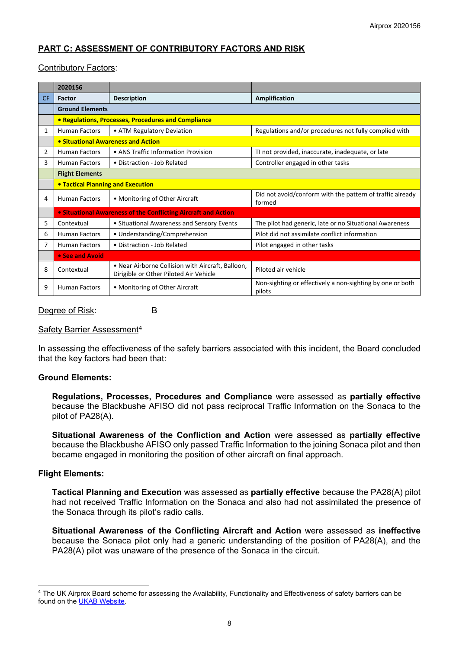# **PART C: ASSESSMENT OF CONTRIBUTORY FACTORS AND RISK**

### Contributory Factors:

|           | 2020156                                                        |                                                                                             |                                                                     |  |  |  |  |  |  |  |
|-----------|----------------------------------------------------------------|---------------------------------------------------------------------------------------------|---------------------------------------------------------------------|--|--|--|--|--|--|--|
| <b>CF</b> | Factor                                                         | <b>Description</b><br><b>Amplification</b>                                                  |                                                                     |  |  |  |  |  |  |  |
|           | <b>Ground Elements</b>                                         |                                                                                             |                                                                     |  |  |  |  |  |  |  |
|           |                                                                | • Regulations, Processes, Procedures and Compliance                                         |                                                                     |  |  |  |  |  |  |  |
| 1         | <b>Human Factors</b>                                           | • ATM Regulatory Deviation                                                                  | Regulations and/or procedures not fully complied with               |  |  |  |  |  |  |  |
|           |                                                                | • Situational Awareness and Action                                                          |                                                                     |  |  |  |  |  |  |  |
| 2         | <b>Human Factors</b>                                           | • ANS Traffic Information Provision                                                         | TI not provided, inaccurate, inadequate, or late                    |  |  |  |  |  |  |  |
| 3         | <b>Human Factors</b>                                           | • Distraction - Job Related                                                                 | Controller engaged in other tasks                                   |  |  |  |  |  |  |  |
|           | <b>Flight Elements</b>                                         |                                                                                             |                                                                     |  |  |  |  |  |  |  |
|           | <b>• Tactical Planning and Execution</b>                       |                                                                                             |                                                                     |  |  |  |  |  |  |  |
| 4         | <b>Human Factors</b>                                           | • Monitoring of Other Aircraft                                                              | Did not avoid/conform with the pattern of traffic already<br>formed |  |  |  |  |  |  |  |
|           | • Situational Awareness of the Conflicting Aircraft and Action |                                                                                             |                                                                     |  |  |  |  |  |  |  |
| 5         | Contextual                                                     | • Situational Awareness and Sensory Events                                                  | The pilot had generic, late or no Situational Awareness             |  |  |  |  |  |  |  |
| 6         | • Understanding/Comprehension<br><b>Human Factors</b>          |                                                                                             | Pilot did not assimilate conflict information                       |  |  |  |  |  |  |  |
| 7         | <b>Human Factors</b>                                           | • Distraction - Job Related                                                                 | Pilot engaged in other tasks                                        |  |  |  |  |  |  |  |
|           | • See and Avoid                                                |                                                                                             |                                                                     |  |  |  |  |  |  |  |
| 8         | Contextual                                                     | • Near Airborne Collision with Aircraft, Balloon,<br>Dirigible or Other Piloted Air Vehicle | Piloted air vehicle                                                 |  |  |  |  |  |  |  |
| 9         | <b>Human Factors</b>                                           | • Monitoring of Other Aircraft                                                              | Non-sighting or effectively a non-sighting by one or both<br>pilots |  |  |  |  |  |  |  |

#### Degree of Risk: B

### Safety Barrier Assessment<sup>[4](#page-7-0)</sup>

In assessing the effectiveness of the safety barriers associated with this incident, the Board concluded that the key factors had been that:

#### **Ground Elements:**

**Regulations, Processes, Procedures and Compliance** were assessed as **partially effective** because the Blackbushe AFISO did not pass reciprocal Traffic Information on the Sonaca to the pilot of PA28(A).

**Situational Awareness of the Confliction and Action** were assessed as **partially effective** because the Blackbushe AFISO only passed Traffic Information to the joining Sonaca pilot and then became engaged in monitoring the position of other aircraft on final approach.

#### **Flight Elements:**

**Tactical Planning and Execution** was assessed as **partially effective** because the PA28(A) pilot had not received Traffic Information on the Sonaca and also had not assimilated the presence of the Sonaca through its pilot's radio calls.

**Situational Awareness of the Conflicting Aircraft and Action** were assessed as **ineffective** because the Sonaca pilot only had a generic understanding of the position of PA28(A), and the PA28(A) pilot was unaware of the presence of the Sonaca in the circuit.

<span id="page-7-0"></span><sup>4</sup> The UK Airprox Board scheme for assessing the Availability, Functionality and Effectiveness of safety barriers can be found on the [UKAB Website.](http://www.airproxboard.org.uk/Learn-more/Airprox-Barrier-Assessment/)